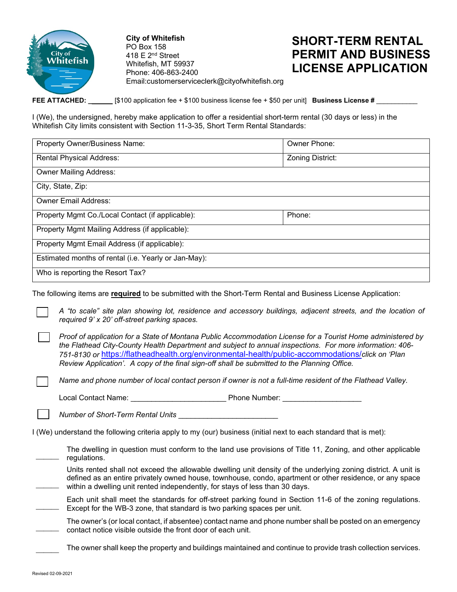

**City of Whitefish** PO Box 158 418  $E$  2<sup>nd</sup> Street Whitefish, MT 59937 Phone: 406-863-2400 Email:customerserviceclerk@cityofwhitefish.org

## **SHORT-TERM RENTAL PERMIT AND BUSINESS LICENSE APPLICATION**

**FEE ATTACHED: \_** [\$100 application fee + \$100 business license fee + \$50 per unit] **Business License #** \_\_\_\_\_\_\_\_\_\_\_

I (We), the undersigned, hereby make application to offer a residential short-term rental (30 days or less) in the Whitefish City limits consistent with Section 11-3-35, Short Term Rental Standards:

| Property Owner/Business Name:                        | Owner Phone:            |  |  |
|------------------------------------------------------|-------------------------|--|--|
| <b>Rental Physical Address:</b>                      | <b>Zoning District:</b> |  |  |
| <b>Owner Mailing Address:</b>                        |                         |  |  |
| City, State, Zip:                                    |                         |  |  |
| <b>Owner Email Address:</b>                          |                         |  |  |
| Property Mgmt Co./Local Contact (if applicable):     | Phone:                  |  |  |
| Property Mgmt Mailing Address (if applicable):       |                         |  |  |
| Property Mgmt Email Address (if applicable):         |                         |  |  |
| Estimated months of rental (i.e. Yearly or Jan-May): |                         |  |  |
| Who is reporting the Resort Tax?                     |                         |  |  |

The following items are **required** to be submitted with the Short-Term Rental and Business License Application:

*A "to scale" site plan showing lot, residence and accessory buildings, adjacent streets, and the location of required 9' x 20' off-street parking spaces.*

*Proof of application for a State of Montana Public Accommodation License for a Tourist Home administered by the Flathead City-County Health Department and subject to annual inspections. For more information: 406- 751-8130 or* <https://flatheadhealth.org/environmental-health/public-accommodations/>*click on 'Plan Review Application'. A copy of the final sign-off shall be submitted to the Planning Office.*

*Name and phone number of local contact person if owner is not a full-time resident of the Flathead Valley.*

Local Contact Name: \_\_\_\_\_\_\_\_\_\_\_\_\_\_\_\_\_\_\_\_\_\_\_ Phone Number: \_\_\_\_\_\_\_\_\_\_\_\_\_\_\_\_\_\_\_

*Number of Short-Term Rental Units* \_\_\_\_\_\_\_\_\_\_\_\_\_\_\_\_\_\_\_\_\_\_\_\_

I (We) understand the following criteria apply to my (our) business (initial next to each standard that is met):

 $\overline{\phantom{a}}$ The dwelling in question must conform to the land use provisions of Title 11, Zoning, and other applicable regulations.

Units rented shall not exceed the allowable dwelling unit density of the underlying zoning district. A unit is defined as an entire privately owned house, townhouse, condo, apartment or other residence, or any space within a dwelling unit rented independently, for stays of less than 30 days.

- $\overline{\phantom{a}}$ Each unit shall meet the standards for off-street parking found in Section 11-6 of the zoning regulations. Except for the WB-3 zone, that standard is two parking spaces per unit.
- $\overline{\phantom{a}}$ The owner's (or local contact, if absentee) contact name and phone number shall be posted on an emergency contact notice visible outside the front door of each unit.

The owner shall keep the property and buildings maintained and continue to provide trash collection services.

 $\overline{\phantom{a}}$